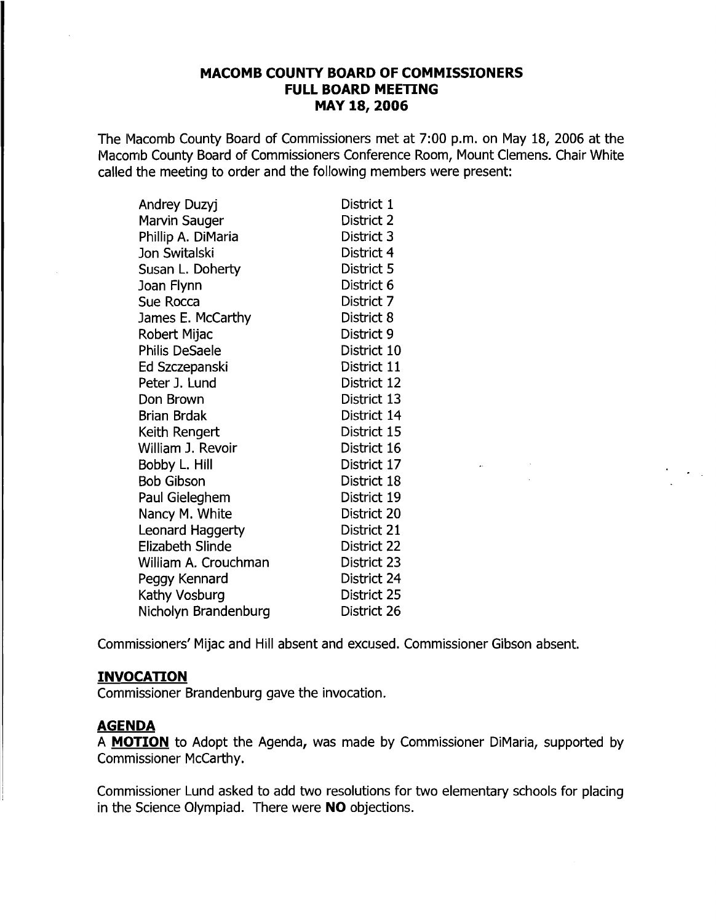#### **MACOMB COUNTY BOARD OF COMMISSIONERS FULL BOARD MEETING MAY 18,2006**

The Macomb County Board of Commissioners met at 7:00 p.m. on May 18, 2006 at the Macomb County Board of Commissioners Conference Room, Mount Clemens. Chair White called the meeting to order and the following members were present:

| <b>Andrey Duzyj</b>     | District 1  |
|-------------------------|-------------|
| Marvin Sauger           | District 2  |
| Phillip A. DiMaria      | District 3  |
| Jon Switalski           | District 4  |
| Susan L. Doherty        | District 5  |
| Joan Flynn              | District 6  |
| Sue Rocca               | District 7  |
| James E. McCarthy       | District 8  |
| Robert Mijac            | District 9  |
| Philis DeSaele          | District 10 |
| Ed Szczepanski          | District 11 |
| Peter J. Lund           | District 12 |
| Don Brown               | District 13 |
| <b>Brian Brdak</b>      | District 14 |
| Keith Rengert           | District 15 |
| William J. Revoir       | District 16 |
| Bobby L. Hill           | District 17 |
| <b>Bob Gibson</b>       | District 18 |
| Paul Gieleghem          | District 19 |
| Nancy M. White          | District 20 |
| Leonard Haggerty        | District 21 |
| <b>Elizabeth Slinde</b> | District 22 |
| William A. Crouchman    | District 23 |
| Peggy Kennard           | District 24 |
| Kathy Vosburg           | District 25 |
| Nicholyn Brandenburg    | District 26 |

Commissioners' Mijac and Hill absent and excused. Commissioner Gibson absent.

## **INVOCATION**

Commissioner Brandenburg gave the invocation.

#### **AGENDA**

A **MOTION** to Adopt the Agenda, was made by Commissioner DiMaria, supported by Commissioner McCarthy.

Commissioner Lund asked to add two resolutions for two elementary schools for placing in the Science Olympiad. There were **NO** objections.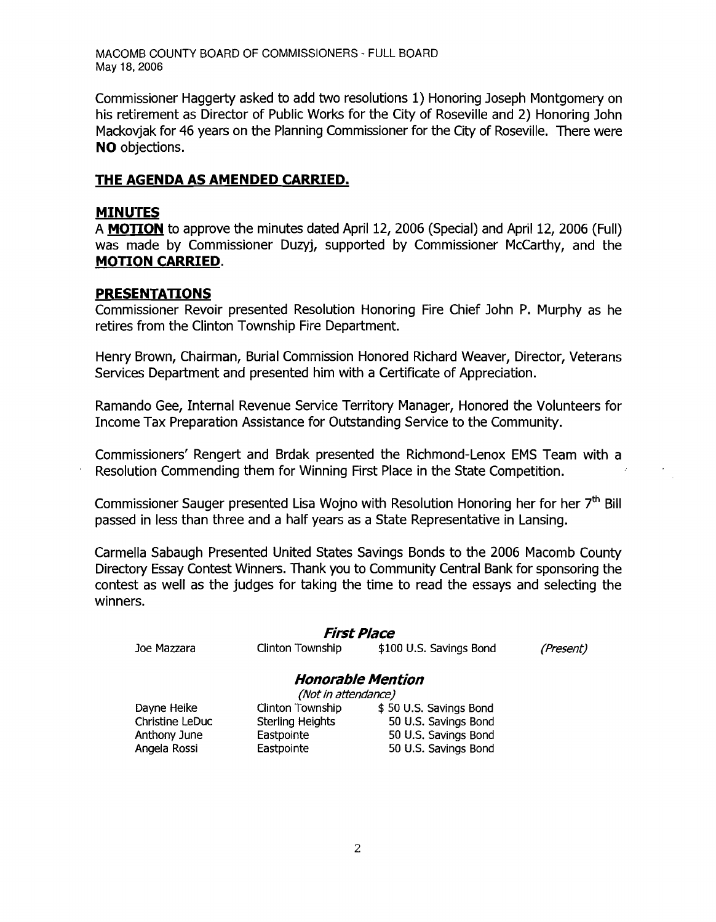Commissioner Haggerty asked to add two resolutions 1) Honoring Joseph Montgomery on his retirement as Director of Public Works for the City of Roseville and 2) Honoring John Mackovjak for 46 years on the Planning Commissioner for the City of Roseville. There were **NO** objections.

#### **THE AGENDA AS AMENDED CARRIED.**

#### **MINUTES**

A **MOTION** to approve the minutes dated April 12, 2006 (Special) and April 12, 2006 (Full) was made by Commissioner Duzyj, supported by Commissioner McCarthy, and the **MOTION CARRIED.** 

#### **PRESENTATIONS**

Commissioner Revoir presented Resolution Honoring Fire Chief John P. Murphy as he retires from the Clinton Township Fire Department.

Henry Brown, Chairman, Burial Commission Honored Richard Weaver, Director, Veterans Services Department and presented him with a Certificate of Appreciation.

Ramando Gee, Internal Revenue Service Territory Manager, Honored the Volunteers for Income Tax Preparation Assistance for Outstanding Service to the Community.

Commissioners' Rengert and Brdak presented the Richmond-Lenox EMS Team with a Resolution Commending them for Winning First Place in the State Competition.

Commissioner Sauger presented Lisa Wojno with Resolution Honoring her for her  $7<sup>th</sup>$  Bill passed in less than three and a half years as a State Representative in Lansing.

Carmella Sabaugh Presented United States Savings Bonds to the 2006 Macomb County Directory Essay Contest Winners. Thank you to Community Central Bank for sponsoring the contest as well as the judges for taking the time to read the essays and selecting the winners.

#### First Place

Joe Mazzara

Clinton Township \$100 U.S. Savings Bond (Present)

#### **Honorable Mention**

(Not in attendance)

Dayne Heike Christine LeDuc Anthony June Angela Rossi

Clinton Township \$ 50 U.S. Savings Bond Sterling Heights 50 U.S. Savings Bond Eastpointe 50 U.S. Savings Bond Eastpointe 50 U.S. Savings Bond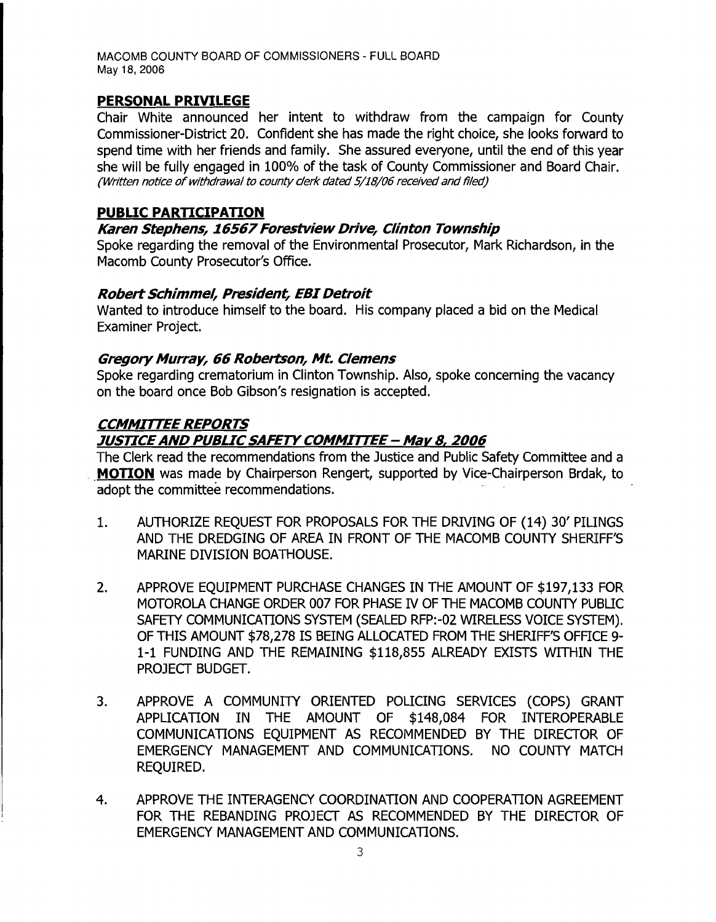## **PERSONAL PRIVILEGE**

Chair White announced her intent to withdraw from the campaign for County Commissioner-District 20. Confident she has made the right choice, she looks forward to spend time with her friends and family. She assured everyone, until the end of this year she will be fully engaged in 100% of the task of County Commissioner and Board Chair. (Written notice of withdrawal to county clerk dated 5/18/06 received and filed)

## **PUBLIC PARTICIPATION**

## **Karen Stephens, 16567Forestview Drive, Clinton Township**

Spoke regarding the removal of the Environmental Prosecutor, Mark Richardson, in the Macomb County Prosecutor's Office.

## **Robert Schimmel, President, EBI Detroit**

Wanted to introduce himself to the board. His company placed a bid on the Medical Examiner Project.

## **Gregory Murray, 66 Robertson, Mt. Clemens**

Spoke regarding crematorium in Clinton Township. Also, spoke concerning the vacancy on the board once Bob Gibson's resignation is accepted.

# **CCMMITTEE REPORTS**

# **JUSTICEAND PUBLICSAFETYCOMMITTEE - May 8, 2006**

The Clerk read the recommendations from the Justice and Public Safety Committee and a **MOTION** was made by Chairperson Rengert, supported by Vice-Chairperson Brdak, to adopt the committee recommendations.

- 1. AUTHORIZE REQUEST FOR PROPOSALS FOR THE DRIVING OF (14) 30' PILINGS AND THE DREDGING OF AREA IN FRONT OF THE MACOMB COUNTY SHERIFF'S MARINE DIVISION BOATHOUSE.
- 2. APPROVE EQUIPMENT PURCHASE CHANGES IN THE AMOUNT OF \$197,133 FOR MOTOROLA CHANGE ORDER 007 FOR PHASE IV OF THE MACOMB COUNTY PUBLIC SAFETY COMMUNICATIONS SYSTEM (SEALED RFP:-02 WIRELESS VOICE SYSTEM). OF THIS AMOUNT \$78/278 IS BEING ALLOCATED FROM THE SHERIFF'S OFFICE 9 1-1 FUNDING AND THE REMAINING \$118/855 ALREADY EXISTS WITHIN THE PROJECT BUDGET.
- 3. APPROVE A COMMUNITY ORIENTED POLICING SERVICES (COPS) GRANT APPLICATION IN THE AMOUNT OF \$148,084 FOR INTEROPERABLE COMMUNICATIONS EOUIPMENT AS RECOMMENDED BY THE DIRECTOR OF EMERGENCY MANAGEMENT AND COMMUNICATIONS. NO COUNTY MATCH REQUIRED.
- 4. APPROVE THE INTERAGENCY COORDINATION AND COOPERATION AGREEMENT FOR THE REBANDING PROJECT AS RECOMMENDED BY THE DIRECTOR OF EMERGENCY MANAGEMENT AND COMMUNICATIONS.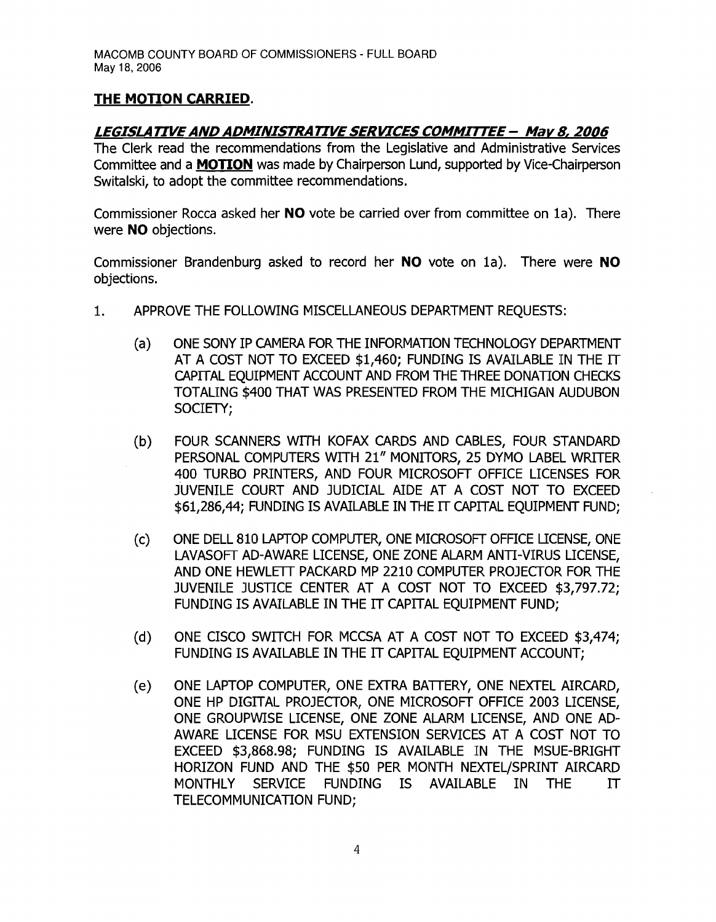# **THE MOTION CARRIED.**

## *LEGISLATIVE AND ADMINISTRATIVE SERVICES COMMITTEE* **-** *Mar* **8,** *2006*

The Clerk read the recommendations from the Legislative and Administrative Services Committee and a **MOTION** was made by Chairperson Lund, supported by Vice-Chairperson Switalski, to adopt the committee recommendations.

Commissioner Rocca asked her **NO** vote be carried over from committee on la). There were **NO** objections.

Commissioner Brandenburg asked to record her **NO** vote on la). There were **NO**  objections.

- 1. APPROVE THE FOLLOWING MISCELLANEOUS DEPARTMENT REQUESTS:
	- (a) ONE SONY IP CAMERA FOR THE INFORMATION TECHNOLOGY DEPARTMENT AT A COST NOT TO EXCEED \$1,460; FUNDING IS AVAILABLE IN THE IT CAPITAL EQUIPMENT ACCOUNT AND FROM THE THREE DONATION CHECKS TOTALING \$400 THAT WAS PRESENTED FROM THE MICHIGAN AUDUBON SOCIETY;
	- (b) FOUR SCANNERS WITH KOFAX CARDS AND CABLES, FOUR STANDARD PERSONAL COMPUTERS WITH 21" MONITORS, 25 DYMO LABEL WRITER 400 TURBO PRINTERS, AND FOUR MICROSOFT OFFICE LICENSES FOR JUVENILE COURT AND JUDICIAL AIDE AT A COST NOT TO EXCEED \$61,286,44; FUNDING IS AVAILABLE IN THE IT CAPITAL EQUIPMENT FUND;
	- (c) ONE DELL 810 LAPTOP COMPUTER, ONE MICROSOFT OFFICE LICENSE, ONE LAVASOFT AD-AWARE LICENSE, ONE ZONE ALARM ANTI-VIRUS LICENSE, AND ONE HEWLETT PACKARD MP 2210 COMPUTER PROJECTOR FOR THE JUVENILE JUSTICE CENTER AT A COST NOT TO EXCEED \$3,797.72; FUNDING IS AVAILABLE IN THE IT CAPITAL EQUIPMENT FUND;
	- (d) ONE CISCO SWITCH FOR MCCSA AT A COST NOT TO EXCEED \$3,474; FUNDING IS AVAILABLE IN THE IT CAPITAL EQUIPMENT ACCOUNT;
	- (e) ONE LAPTOP COMPUTER, ONE EXTRA BATTERY, ONE NEXTEL AIRCARD, ONE HP DIGITAL PROJECTOR, ONE MICROSOFT OFFICE 2003 LICENSE, ONE GROUPWISE LICENSE, ONE ZONE ALARM LICENSE, AND ONE AD-AWARE LICENSE FOR MSU EXTENSION SERVICES AT A COST NOT TO EXCEED \$3,868.98; FUNDING IS AVAILABLE IN THE MSUE-BRIGHT HORIZON FUND AND THE \$50 PER MONTH NEXTELjSPRINT AIRCARD MONTHLY SERVICE FUNDING IS AVAILABLE IN THE IT TELECOMMUNICATION FUND;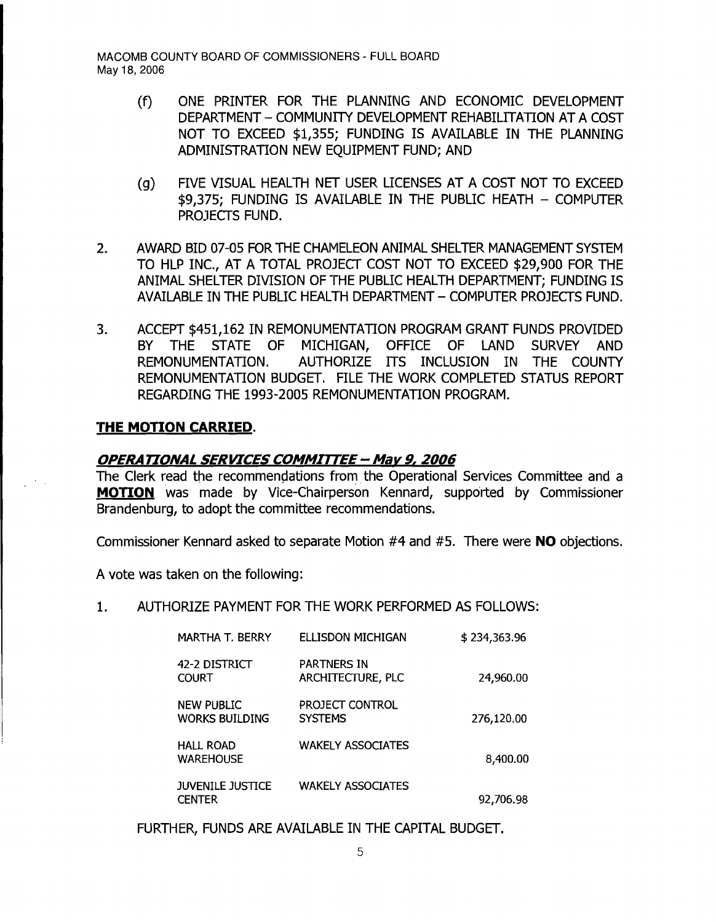- (f) ONE PRINTER FOR THE PLANNING AND ECONOMIC DEVELOPMENT DEPARTMENT - COMMUNITY DEVELOPMENT REHABILITATION AT A COST NOT TO EXCEED \$1,355; FUNDING IS AVAILABLE IN THE PLANNING ADMINISTRATION NEW EQUIPMENT FUND; AND
- (g) FIVE VISUAL HEALTH NET USER LICENSES AT A COST NOT TO EXCEED \$9,375; FUNDING IS AVAILABLE IN THE PUBLIC HEATH - COMPUTER PROJECTS FUND.
- 2. AWARD BID 07-05 FOR THE CHAMELEON ANIMAL SHELTER MANAGEMENT SYSTEM TO HLP INC., AT A TOTAL PROJECT COST NOT TO EXCEED \$29,900 FOR THE ANIMAL SHELTER DIVISION OF THE PUBLIC HEALTH DEPARTMENT; FUNDING IS AVAILABLE IN THE PUBLIC HEALTH DEPARTMENT - COMPUTER PROJECTS FUND.
- 3. ACCEPT \$451,162 IN REMONUMENTATION PROGRAM GRANT FUNDS PROVIDED BY THE STATE OF MICHIGAN, OFFICE OF LAND SURVEY AND REMONUMENTATION. AUTHORIZE ITS INCLUSION IN THE COUNTY REMONUMENTATION BUDGET. FILE THE WORK COMPLETED STATUS REPORT REGARDING THE 1993-2005 REMONUMENTATION PROGRAM.

#### **THE MOTION CARRIED.**

#### **OPERA TIONA! SERVICES COMMITTEE - Mav 9, 2006**

The Clerk read the recommendations from the Operational Services Committee and a **MOTION** was made by Vice-Chairperson Kennard, supported by Commissioner Brandenburg, to adopt the committee recommendations.

Commissioner Kennard asked to separate Motion #4 and #5. There were **NO** objections.

A vote was taken on the following:

1. AUTHORIZE PAYMENT FOR THE WORK PERFORMED AS FOLLOWS:

| MARTHA T. BERRY                            | ELLISDON MICHIGAN                       | \$234,363.96 |
|--------------------------------------------|-----------------------------------------|--------------|
| 42-2 DISTRICT<br><b>COURT</b>              | <b>PARTNERS IN</b><br>ARCHITECTURE, PLC | 24,960.00    |
| <b>NEW PUBLIC</b><br><b>WORKS BUILDING</b> | PROJECT CONTROL<br><b>SYSTEMS</b>       | 276,120.00   |
| <b>HALL ROAD</b><br><b>WAREHOUSE</b>       | <b>WAKELY ASSOCIATES</b>                | 8,400.00     |
| <b>JUVENILE JUSTICE</b><br><b>CENTER</b>   | <b>WAKELY ASSOCIATES</b>                | 92,706.98    |

FURTHER, FUNDS ARE AVAILABLE IN THE CAPITAL BUDGET.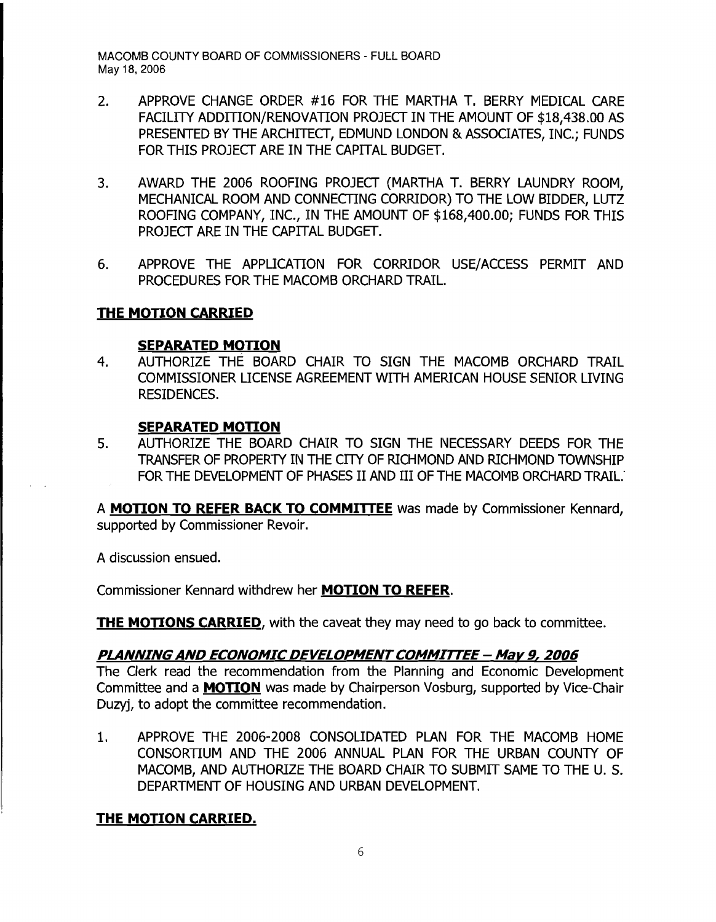- 2. APPROVE CHANGE ORDER #16 FOR THE MARTHA T. BERRY MEDICAL CARE FACILITY ADDITION/RENOVATION PROJECT IN THE AMOUNT OF \$18,438.00 AS PRESENTED BY THE ARCHITECT, EDMUND LONDON & ASSOCIATES, INC.; FUNDS FOR THIS PROJECT ARE IN THE CAPITAL BUDGET.
- 3. AWARD THE 2006 ROOFING PROJECT (MARTHA T. BERRY LAUNDRY ROOM, MECHANICAL ROOM AND CONNECTING CORRIDOR) TO THE LOW BIDDER, LUTZ ROOFING COMPANY, INC., IN THE AMOUNT OF \$168,400.00; FUNDS FOR THIS PROJECT ARE IN THE CAPITAL BUDGET.
- 6. APPROVE THE APPLICATION FOR CORRIDOR USE/ACCESS PERMIT AND PROCEDURES FOR THE MACOMB ORCHARD TRAIL.

## **THE MOTION CARRIED**

#### **SEPARATED MOTION**

4. AUTHORIZE THE BOARD CHAIR TO SIGN THE MACOMB ORCHARD TRAIL COMMISSIONER LICENSE AGREEMENT WITH AMERICAN HOUSE SENIOR LIVING RESIDENCES.

## **SEPARATED MOTION**

5. AUTHORIZE THE BOARD CHAIR TO SIGN THE NECESSARY DEEDS FOR THE TRANSFER OF PROPERTY IN THE CITY OF RICHMOND AND RICHMOND TOWNSHIP FOR THE DEVELOPMENT OF PHASES II AND III OF THE MACOMB ORCHARD TRAIL.

A **MOTION TO REFER BACK TO COMMITTEE** was made by Commissioner Kennard, supported by Commissioner Revoir.

A discussion ensued.

Commissioner Kennard withdrew her **MOTION TO REFER.** 

**THE MOTIONS CARRIED,** with the caveat they may need to go back to committee.

## **PLANNINGAND ECONOMIC DEVELOPMENTCOMMITTEE - Mar 9, 2006**

The Clerk read the recommendation from the Planning and Economic Development Committee and a **MOTION** was made by Chairperson Vosburg, supported by Vice-Chair Duzyj, to adopt the committee recommendation.

1. APPROVE THE 2006-2008 CONSOLIDATED PLAN FOR THE MACOMB HOME CONSORTIUM AND THE 2006 ANNUAL PLAN FOR THE URBAN COUNTY OF MACOMB, AND AUTHORIZE THE BOARD CHAIR TO SUBMIT SAME TO THE U. S. DEPARTMENT OF HOUSING AND URBAN DEVELOPMENT.

# **THE MOTION CARRIED.**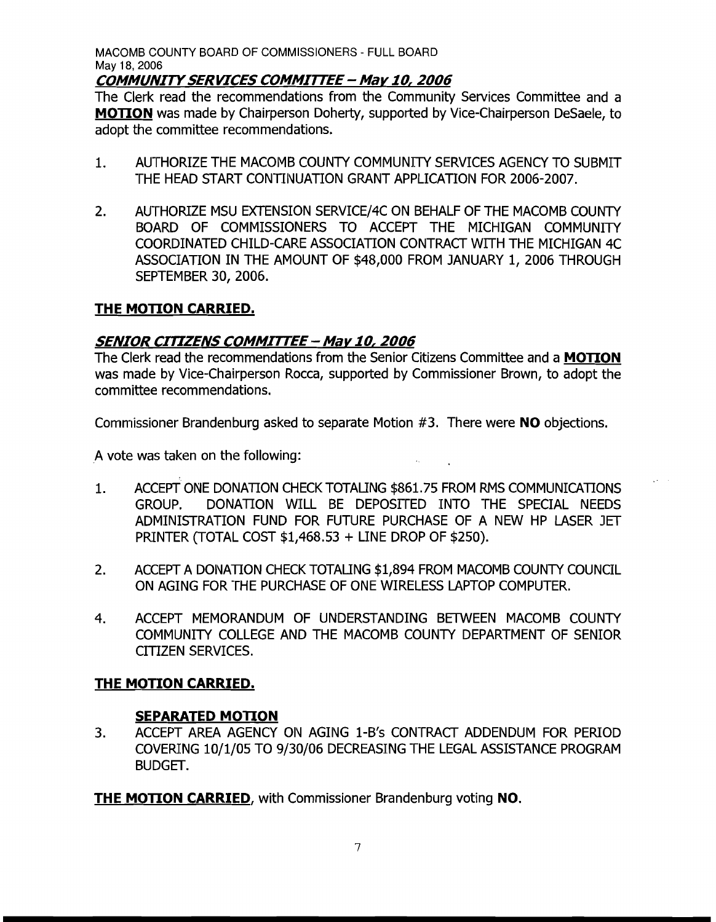## **COMMUNITYSERVICES COMMITTEE - May** *10,* **2006**

The Clerk read the recommendations from the Community Services Committee and a **MOTION** was made by Chairperson Doherty, supported by Vice-Chairperson DeSaele, to adopt the committee recommendations.

- 1. AUTHORIZE THE MACOMB COUNTY COMMUNITY SERVICES AGENCY TO SUBMIT THE HEAD START CONTlNUATION GRANT APPLICATION FOR 2006-2007.
- 2. AUTHORIZE MSU EXTENSION SERVICE/4C ON BEHALF OF THE MACOMB COUNTY BOARD OF COMMISSIONERS TO ACCEPT THE MICHIGAN COMMUNITY COORDINATED CHILD-CARE ASSOCIATION CONTRACT WITH THE MICHIGAN 4C ASSOCIATION IN THE AMOUNT OF \$48,000 FROM JANUARY 1, 2006 THROUGH SEPTEMBER 30, 2006.

# **THE MOTION CARRIED.**

# **SENIOR CITIZENS COMMITTEE- Mar** *10,* **2006**

The Clerk read the recommendations from the Senior Citizens Committee and a **MOTION**  was made by Vice-Chairperson Rocca, supported by Commissioner Brown, to adopt the committee recommendations.

Commissioner Brandenburg asked to separate Motion #3. There were **NO** objections.

A vote was taken on the following:

- 1. ACCEPT ONE DONATION CHECK TOTALING \$861.75 FROM RMS COMMUNICATIONS GROUP. DONATION WILL BE DEPOSITED INTO THE SPECIAL NEEDS ADMINISTRATION FUND FOR FUTURE PURCHASE OF A NEW HP LASER JET PRlNTER (TOTAL COST \$1,468.53 + LINE DROP OF \$250).
- 2. ACCEPT A DONATION CHECK TOTALING \$1,894 FROM MACOMB COUNTY COUNCIL ON AGING FOR THE PURCHASE OF ONE WIRELESS LAPTOP COMPUTER.
- 4. ACCEPT MEMORANDUM OF UNDERSTANDING BETWEEN MACOMB COUNTY COMMUNITY COLLEGE AND THE MACOMB COUNTY DEPARTMENT OF SENIOR CITIZEN SERVICES.

## **THE MOTION CARRIED.**

## **SEPARATED MOTION**

3. ACCEPT AREA AGENCY ON AGING 1-B's CONTRACT ADDENDUM FOR PERIOD COVERING 10/1/05 TO 9/30/06 DECREASING THE LEGAL ASSISTANCE PROGRAM BUDGET.

**THE MOTION CARRIED,** with Commissioner Brandenburg voting NO.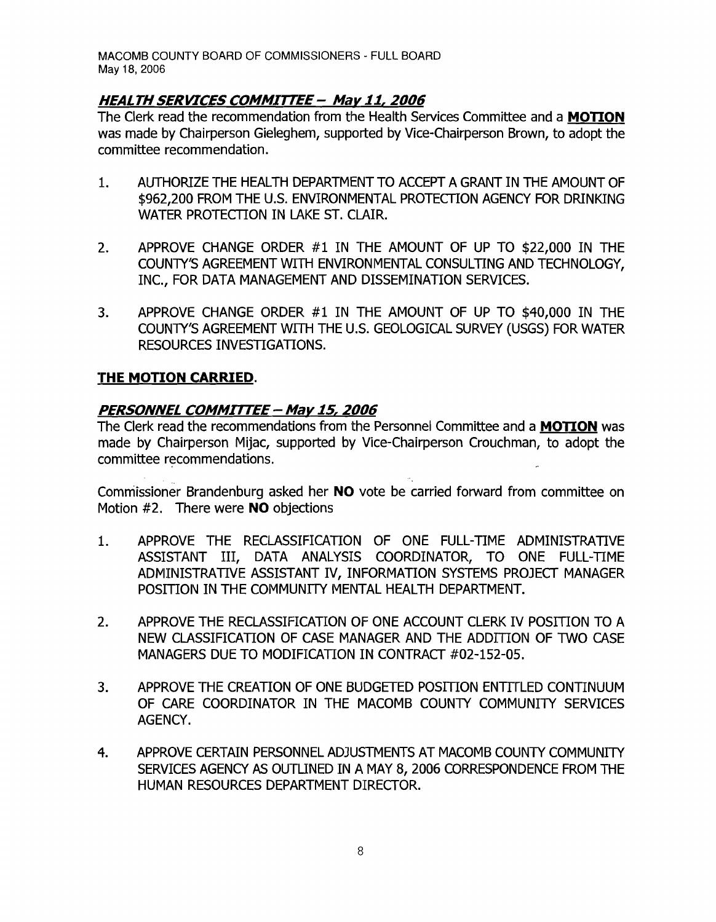# **HEALTH SERVICES COMMITTEE - Mar 11,2006**

The Clerk read the recommendation from the Health Services Committee and a **MOTION** was made by Chairperson Gieleghem, supported by Vice-Chairperson Brown, to adopt the committee recommendation.

- 1. AUTHORIZE THE HEALTH DEPARTMENT TO ACCEPT A GRANT IN THE AMOUNT OF \$962,200 FROM THE U.S. ENVIRONMENTAL PROTECTION AGENCY FOR DRINKING WATER PROTECTION IN LAKE ST. CLAIR.
- 2. APPROVE CHANGE ORDER #1 IN THE AMOUNT OF UP TO \$22,000 IN THE COUNTY'S AGREEMENT WITH ENVIRONMENTAL CONSULTING AND TECHNOLOGY. INC., FOR DATA MANAGEMENT AND DISSEMINATION SERVICES.
- 3. APPROVE CHANGE ORDER #1 IN THE AMOUNT OF UP TO \$40,000 IN THE COUNTY/S AGREEMENT WITH THE U.S. GEOLOGICAL SURVEY (USGS) FOR WATER RESOURCES INVESTIGATIONS.

## **THE MOTION CARRIED.**

## **PERSONNEL COMMITTEE - May 15, 2006**

The Clerk read the recommendations from the Personnel Committee and a **MOTION** was made by Chairperson Mijac, supported by Vice-Chairperson Crouchman, to adopt the committee recommendations.

Commissioner Brandenburg asked her **NO** vote be carried forward from committee on Motion #2. There were **NO** objections

- 1. APPROVE THE RECLASSIFICATION OF ONE FULL-TIME ADMINISTRATIVE ASSISTANT III, DATA ANALYSIS COORDINATOR, TO ONE FULL-TIME ADMINISTRATIVE ASSISTANT IV, INFORMATION SYSTEMS PROJECT MANAGER POSITION IN THE COMMUNITY MENTAL HEALTH DEPARTMENT.
- 2. APPROVE THE RECLASSIFICATION OF ONE ACCOUNT CLERK IV POSITION TO A NEW CLASSIFICATION OF CASE MANAGER AND THE ADDITION OF TWO CASE MANAGERS DUE TO MODIFICATION IN CONTRACT #02-152-05.
- 3. APPROVE THE CREATION OF ONE BUDGETED POSITION ENTITLED CONTINUUM OF CARE COORDINATOR IN THE MACOMB COUNTY COMMUNITY SERVICES AGENCY.
- 4. APPROVE CERTAIN PERSONNEL ADJUSTMENTS AT MACOMB COUNTY COMMUNITY SERVICES AGENCY AS OUTLINED IN A MAY 8, 2006 CORRESPONDENCE FROM THE HUMAN RESOURCES DEPARTMENT DIRECTOR.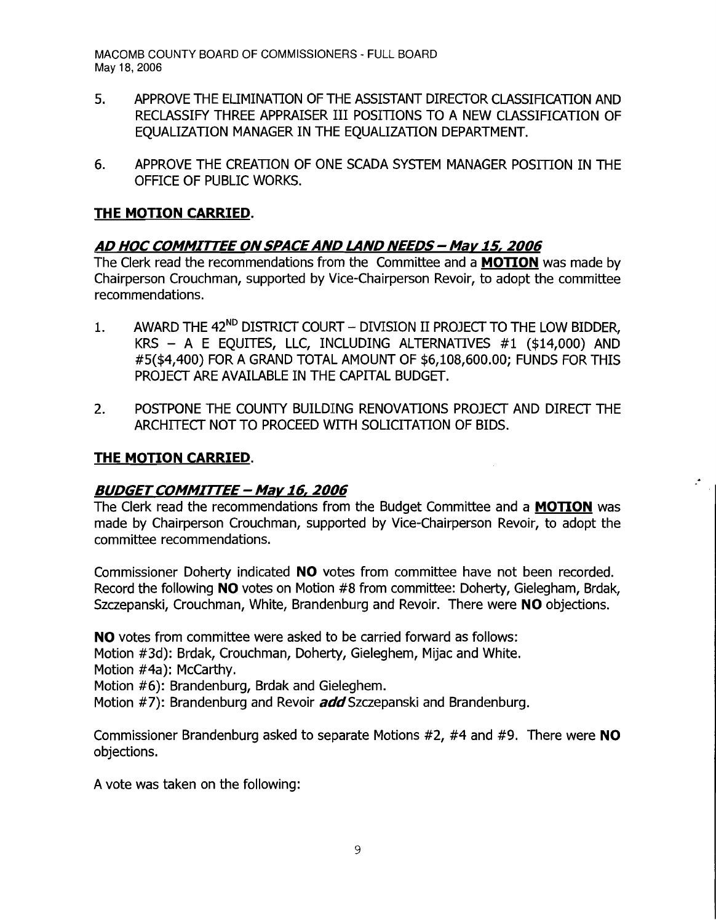- 5. APPROVE THE ELIMINATION OF THE ASSISTANT DIRECfOR CLASSIFICATION AND RECLASSIFY THREE APPRAISER III POSITIONS TO A NEW CLASSIFICATION OF EQUALIZATION MANAGER IN THE EQUALIZATION DEPARTMENT.
- 6. APPROVE THE CREATION OF ONE SCADA SYSTEM MANAGER POSITION IN THE OFFICE OF PUBLIC WORKS.

## **THE MOTION CARRIED.**

# **AD HOC COMMITTEE ONSPACEAND LAND NEEDS - May 15, 2006**

The Clerk read the recommendations from the Committee and a **MOTION** was made by Chairperson Crouchman, supported by Vice-Chairperson Revoir, to adopt the committee recommendations.

- 1. AWARD THE 42<sup>ND</sup> DISTRICT COURT DIVISION II PROJECT TO THE LOW BIDDER, KRS - A E EQUITES, LLC, INCLUDING ALTERNATIVES #1 (\$14,000) AND #5(\$4,400) FOR A GRAND TOTAL AMOUNT OF \$6,108,600.00; FUNDS FOR THIS PROJECT ARE AVAILABLE IN THE CAPITAL BUDGET.
- 2. POSTPONE THE COUNTY BUILDING RENOVATIONS PROJECT AND DIRECT THE ARCHITECT NOT TO PROCEED WITH SOLICITATION OF BIDS.

## **THE MOTION CARRIED.**

## **BUDGET COMMITTEE - May 16, 2006**

The Clerk read the recommendations from the Budget Committee and a **MOTION** was made by Chairperson Crouchman, supported by Vice-Chairperson Revoir, to adopt the committee recommendations.

 $\mathcal{F}_{\mathcal{A}}$ 

Commissioner Doherty indicated **NO** votes from committee have not been recorded. Record the following **NO** votes on Motion #8 from committee: Doherty, Gielegham, Brdak, Szczepanski, Crouchman, White, Brandenburg and Revoir. There were **NO** objections.

**NO** votes from committee were asked to be carried forward as follows:

Motion #3d): Brdak, Crouchman, Doherty, Gieleghem, Mijac and White.

Motion #4a): McCarthy.

Motion #6): Brandenburg, Brdak and Gieleghem.

Motion #7): Brandenburg and Revoir **add** Szczepanski and Brandenburg.

Commissioner Brandenburg asked to separate Motions #2, #4 and #9. There were **NO**  objections.

A vote was taken on the following: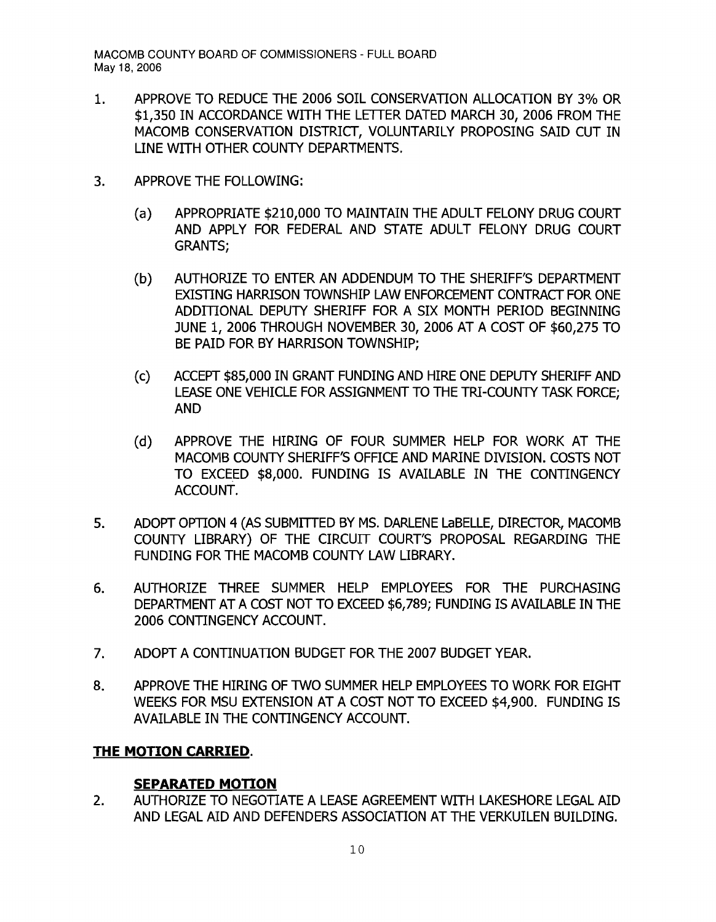- 1. APPROVE TO REDUCE THE 2006 SOIL CONSERVATION ALLOCATION BY 3% OR \$1,350 IN ACCORDANCE WITH THE LETTER DATED MARCH 30, 2006 FROM THE MACOMB CONSERVATION DISTRICT, VOLUNTARILY PROPOSING SAID CUT IN LINE WITH OTHER COUNTY DEPARTMENTS.
- 3. APPROVE THE FOLLOWING:
	- (a) APPROPRIATE \$210,000 TO MAINTAIN THE ADULT FELONY DRUG COURT AND APPLY FOR FEDERAL AND STATE ADULT FELONY DRUG COURT GRANTS;
	- (b) AUTHORIZE TO ENTER AN ADDENDUM TO THE SHERIFF'S DEPARTMENT EXISTING HARRISON TOWNSHIP LAW ENFORCEMENT CONTRACT FOR ONE ADDITIONAL DEPUTY SHERIFF FOR A SIX MONTH PERIOD BEGINNING JUNE 1, 2006 THROUGH NOVEMBER 30, 2006 AT A COST OF \$60,275 TO BE PAID FOR BY HARRISON TOWNSHIP;
	- (c) ACCEPT \$85,000 IN GRANT FUNDING AND HIRE ONE DEPUTY SHERlFF AND LEASE ONE VEHICLE FOR ASSIGNMENT TO THE TRI-COUNTY TASK FORCE: AND
	- (d) APPROVE THE HIRING OF FOUR SUMMER HELP FOR WORK AT THE MACOMB COUNTY SHERIFF'S OFFICE AND MARINE DIVISION. COSTS NOT TO EXCEED \$8,000. FUNDING IS AVAILABLE IN THE CONTINGENCY ACCOUNT.
- 5. ADOPT OPTION 4 (AS SUBMITTED BY MS. DARLENE LaBELLE, DIRECTOR, MACOMB COUNTY LIBRARY) OF THE CIRCUIT COURT'S PROPOSAL REGARDING THE FUNDING FOR THE MACOMB COUNTY LAW LIBRARY.
- 6. AUTHORIZE THREE SUMMER HELP EMPLOYEES FOR THE PURCHASING DEPARTMENT AT A COST NOT TO EXCEED \$6,789; FUNDING IS AVAILABLE IN THE 2006 CONTINGENCY ACCOUNT.
- 7. ADOPT A CONTINUATION BUDGET FOR THE 2007 BUDGET YEAR.
- 8. APPROVE THE HIRING OF TWO SUMMER HELP EMPLOYEES TO WORK FOR EIGHT WEEKS FOR MSU EXTENSION AT A COST NOT TO EXCEED \$4,900. FUNDING IS AVAILABLE IN THE CONTINGENCY ACCOUNT.

#### **THE MOTION CARRIED.**

## **SEPARATED MOTION**

2. AUTHORIZE TO NEGOTIATE A LEASE AGREEMENT WITH LAKESHORE LEGAL AID AND LEGAL AID AND DEFENDERS ASSOCIATION AT THE VERKUILEN BUILDING.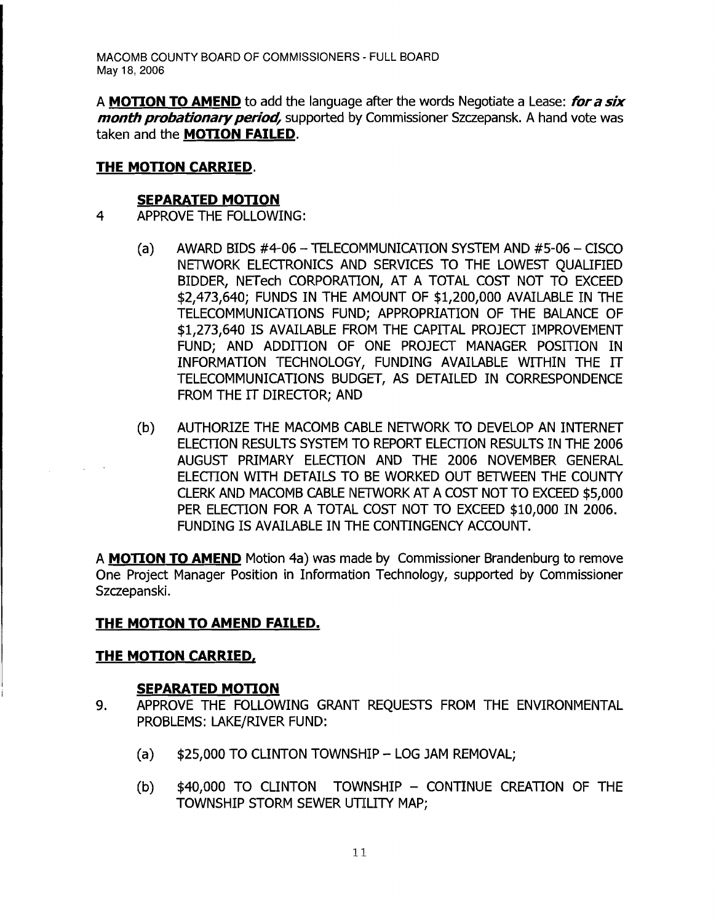A **MOTION TO AMEND** to add the language after the words Negotiate a Lease: **for a six month probationary period,** supported by Commissioner Szczepansk. A hand vote was taken and the **MOTION FAILED**.

# **THE MOTION CARRIED.**

#### **SEPARATED MOTION**

- 4 APPROVE THE FOLLOWING:
	- $(a)$  AWARD BIDS #4-06 TELECOMMUNICATION SYSTEM AND #5-06 CISCO NETWORK ELECTRONICS AND SERVICES TO THE LOWEST QUALIFIED BIDDER, NETech CORPORATION, AT A TOTAL COST NOT TO EXCEED \$2,473,640; FUNDS IN THE AMOUNT OF \$1,200,000 AVAILABLE IN THE TELECOMMUNICATIONS FUND; APPROPRIATION OF THE BALANCE OF \$1,273,640 IS AVAILABLE FROM THE CAPITAL PROJECT IMPROVEMENT FUND: AND ADDITION OF ONE PROJECT MANAGER POSITION IN INFORMATION TECHNOLOGY, FUNDING AVAILABLE WITHIN THE IT TELECOMMUNICATIONS BUDGET, AS DETAILED IN CORRESPONDENCE FROM THE IT DIRECTOR; AND
	- (b) AUTHORIZE THE MACOMB CABLE NETWORK TO DEVELOP AN INTERNET ELECTION RESULTS SYSTEM TO REPORT ELECTION RESULTS IN THE 2006 AUGUST PRIMARY ELECTION AND THE 2006 NOVEMBER GENERAL ELECOON WITH DETAILS TO BE WORKED OUT BETWEEN THE COUNTY CLERK AND MACOMB CABLE NETWORK AT A COST NOT TO EXCEED \$5,000 PER ELECTION FOR A TOTAL COST NOT TO EXCEED \$10,000 IN 2006. FUNDING IS AVAILABLE IN THE CONTINGENCY ACCOUNT.

A **MOTION TO AMEND** Motion 4a) was made by Commissioner Brandenburg to remove One Project Manager Position in Information Technology, supported by Commissioner Szczepanski.

# **THE MOTION TO AMEND FAILED.**

## **THE MOTION CARRIED,**

## **SEPARATED MOTION**

- 9. APPROVE THE FOLLOWING GRANT REQUESTS FROM THE ENVIRONMENTAL PROBLEMS: LAKE/RIVER FUND:
	- $(a)$  \$25,000 TO CLINTON TOWNSHIP LOG JAM REMOVAL;
	- $(b)$  \$40,000 TO CLINTON TOWNSHIP CONTINUE CREATION OF THE TOWNSHIP STORM SEWER UTILITY MAP;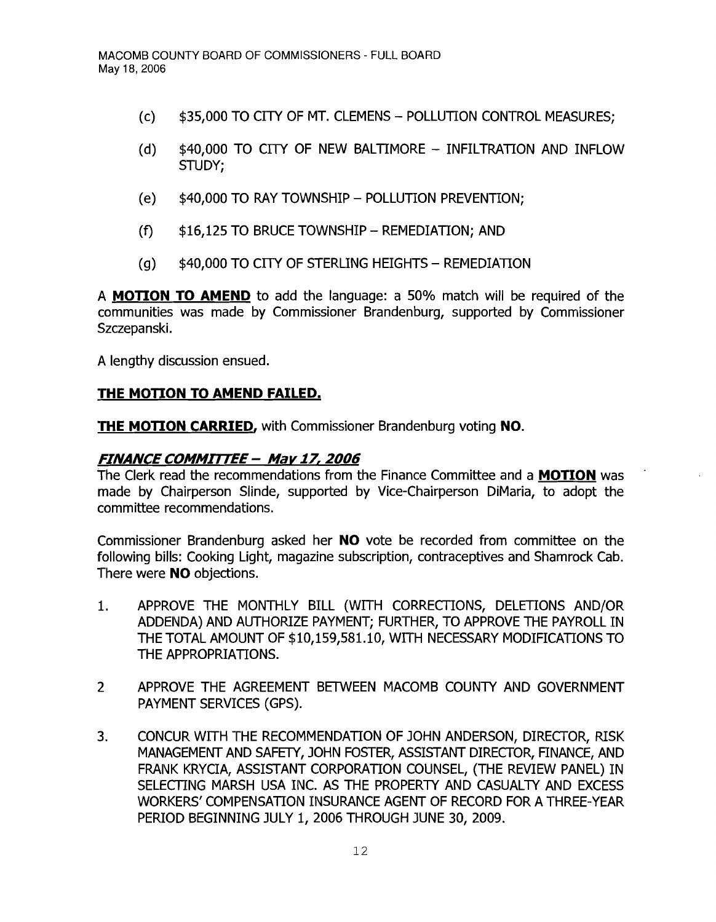- (c) \$35,000 TO CITY OF MT. CLEMENS POLLUTION CONTROL MEASURES;
- (d) \$40,000 TO CITY OF NEW BALTIMORE INFILTRATION AND INFLOW STUDY;
- (e) \$40,000 TO RAY TOWNSHIP POLLUTION PREVENTION:
- $(f)$  \$16,125 TO BRUCE TOWNSHIP REMEDIATION; AND
- (g)  $$40,000$  TO CITY OF STERLING HEIGHTS REMEDIATION

A **MOTION TO AMEND** to add the language: a 50% match will be required of the communities was made by Commissioner Brandenburg, supported by Commissioner Szczepanski.

A lengthy discussion ensued.

#### **THE MOTION TO AMEND FAILED.**

**THE MOTION CARRIED, with Commissioner Brandenburg voting NO.** 

#### **FINANCE COMMIrrEE - Mar 17, 2006**

The Clerk read the recommendations from the Finance Committee and a **MOTION** was made by Chairperson Slinde, supported by Vice-Chairperson DiMaria, to adopt the committee recommendations.

Commissioner Brandenburg asked her **NO** vote be recorded from committee on the following bills: Cooking Light, magazine subscription, contraceptives and Shamrock Cab. There were **NO** objections.

- 1. APPROVE THE MONTHLY BILL (WITH CORRECTIONS, DELETIONS AND/OR ADDENDA) AND AUTHORIZE PAYMENT; FURTHER, TO APPROVE THE PAYROLL IN THE TOTAL AMOUNT OF \$10,159,581.10, WITH NECESSARY MODIFICATIONS TO THE APPROPRIATIONS.
- 2 APPROVE THE AGREEMENT BETWEEN MACOMB COUNTY AND GOVERNMENT PAYMENT SERVICES (GPS).
- 3. CONCUR WITH THE RECOMMENDATION OF JOHN ANDERSON, DIRECTOR, RISK MANAGEMENT AND SAFETY, JOHN FOSTER, ASSISTANT DIRECTOR, FINANCE, AND FRANK KRYCIA, ASSISTANT CORPORATION COUNSEL, (THE REVIEW PANEL) IN SELECTING MARSH USA INC. AS THE PROPERTY AND CASUALTY AND EXCESS WORKERS' COMPENSATION INSURANCE AGENT OF RECORD FOR A THREE-YEAR PERIOD BEGINNING JULY 1, 2006 THROUGH JUNE 30, 2009.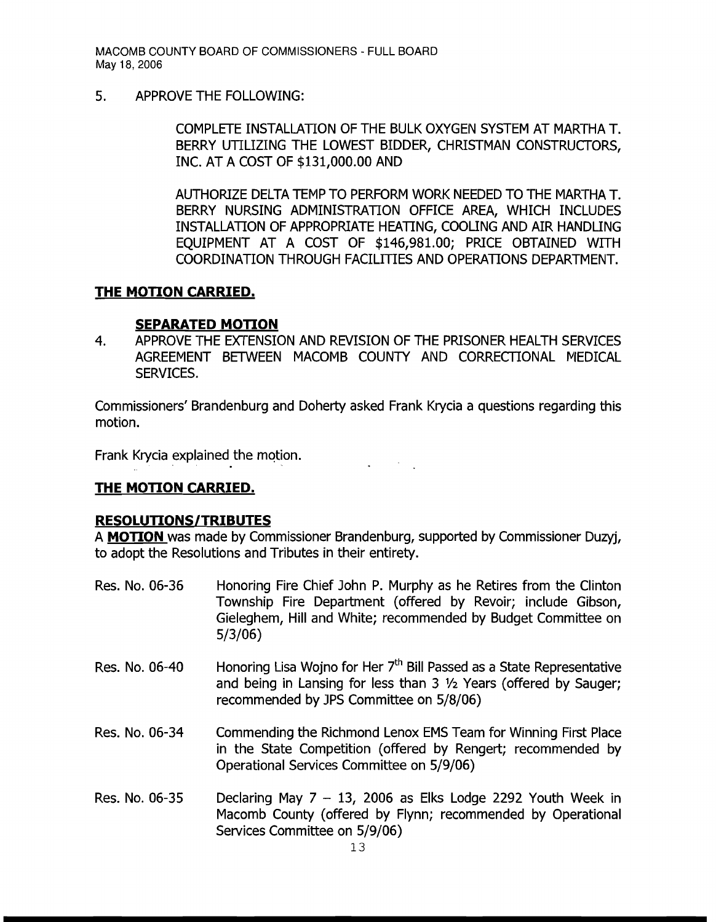5. APPROVE THE FOLLOWING:

COMPLETE INSTALLATION OF THE BULK OXYGEN SYSTEM AT MARTHA T. BERRY UTILIZING THE LOWEST BIDDER, CHRISTMAN CONSTRUCTORS, INC. AT A COST OF \$131,000.00 AND

AUTHORIZE DELTA TEMP TO PERFORM WORK NEEDED TO THE MARTHA T. BERRY NURSING ADMINISTRATION OFFICE AREA, WHICH INCLUDES INSTALLATION OF APPROPRIATE HEATING, COOLING AND AIR HANDLING EQUIPMENT AT A COST OF \$146,981.00; PRICE OBTAINED WITH COORDINATION THROUGH FACILITIES AND OPERATIONS DEPARTMENT.

## **THE MOTION CARRIED.**

#### **SEPARATED MOTION**

4. APPROVE THE EXTENSION AND REVISION OF THE PRISONER HEALTH SERVICES AGREEMENT BETWEEN MACOMB COUNTY AND CORRECTIONAL MEDICAL SERVICES.

Commissioners' Brandenburg and Doherty asked Frank Krycia a questions regarding this motion.

Frank Krycia explained the motion.

## **THE MOTION CARRIED.**

#### **RESOLUTIONS/TRIBUTES**

A **MOTION** was made by Commissioner Brandenburg, supported by Commissioner Duzyj, to adopt the Resolutions and Tributes in their entirety.

- Res. No. 06-36 Honoring Fire Chief John P. Murphy as he Retires from the Clinton Township Fire Department (offered by Revoir; include Gibson, Gieleghem, Hill and White; recommended by Budget Committee on 5/3/06)
- Res. No. 06-40 Honoring Lisa Wojno for Her 7<sup>th</sup> Bill Passed as a State Representative and being in Lansing for less than  $3\frac{1}{2}$  Years (offered by Sauger; recommended by JPS Committee on 5/8/06)
- Res. No. 06-34 Commending the Richmond Lenox EMS Team for Winning First Place in the State Competition (offered by Rengert; recommended by Operational Services Committee on 5/9/06)
- Res. No. 06-35 Declaring May  $7 13$ , 2006 as Elks Lodge 2292 Youth Week in Macomb County (offered by Flynn; recommended by Operational Services Committee on 5/9/06)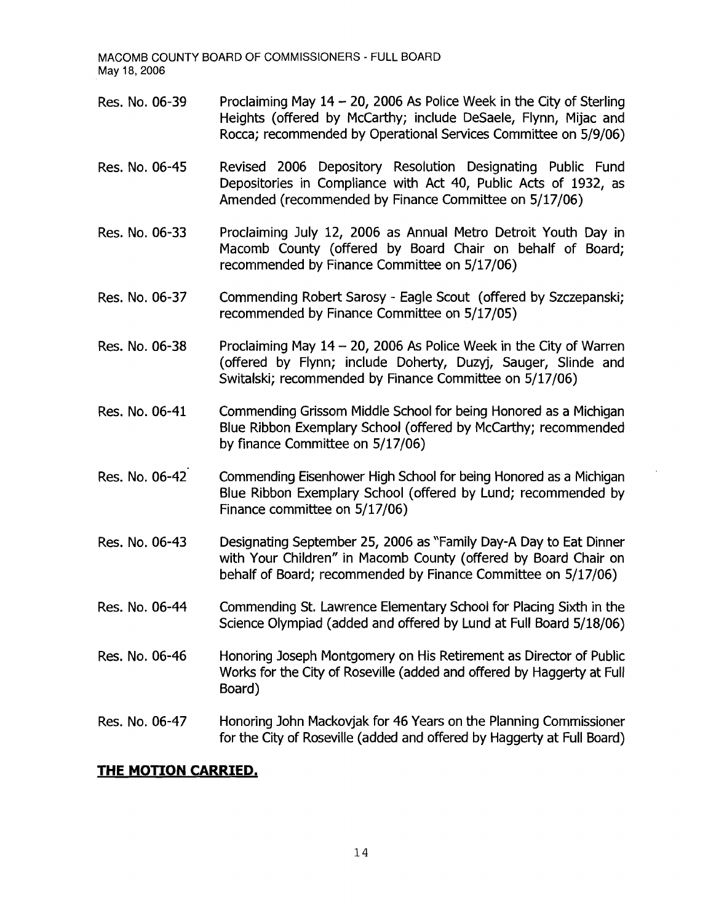- Res. No. 06-39 Proclaiming May 14 - 20, 2006 As Police Week in the City of Sterling Heights (offered by McCarthy; include DeSaele, Flynn, Mijac and Rocca; recommended by Operational Services Committee on 5/9/06)
- Res. No. 06-45 Revised 2006 Depository Resolution Designating Public Fund Depositories in Compliance with Act 40, Public Acts of 1932, as Amended (recommended by Finance Committee on 5/17/06)
- Res. No. 06-33 Proclaiming July 12, 2006 as Annual Metro Detroit Youth Day in Macomb County (offered by Board Chair on behalf of Board; recommended by Finance Committee on 5/17/06)
- Res. No. 06-37 Commending Robert Sarosy - Eagle Scout (offered by Szczepanski; recommended by Finance Committee on 5/17/05)
- Res. No. 06-38 Proclaiming May  $14 - 20$ , 2006 As Police Week in the City of Warren (offered by Flynn; include Doherty, Duzyj, Sauger, Slinde and Switalski; recommended by Finance Committee on 5/17/06)
- Res. No. 06-41 Commending Grissom Middle School for being Honored as a Michigan Blue Ribbon Exemplary School (offered by McCarthy; recommended by finance Committee on 5/17/06)
- Res. No. 06-42 Commending Eisenhower High School for being Honored as a Michigan Blue Ribbon Exemplary School (offered by Lund; recommended by Finance committee on 5/17/06)
- Res. No. 06-43 Designating September 25, 2006 as "Family Day-A Day to Eat Dinner with Your Children" in Macomb County (offered by Board Chair on behalf of Board; recommended by Finance Committee on 5/17/06)
- Res. No. 06-44 Commending St. Lawrence Elementary School for Placing Sixth in the Science Olympiad (added and offered by Lund at Full Board 5/18/06)
- Res. No. 06-46 Honoring Joseph Montgomery on His Retirement as Director of Public Works for the City of Roseville (added and offered by Haggerty at Full Board)
- Res. No. 06-47 Honoring John Mackovjak for 46 Years on the Planning Commissioner for the City of Roseville (added and offered by Haggerty at Full Board)

## **THE MOTION CARRIED.**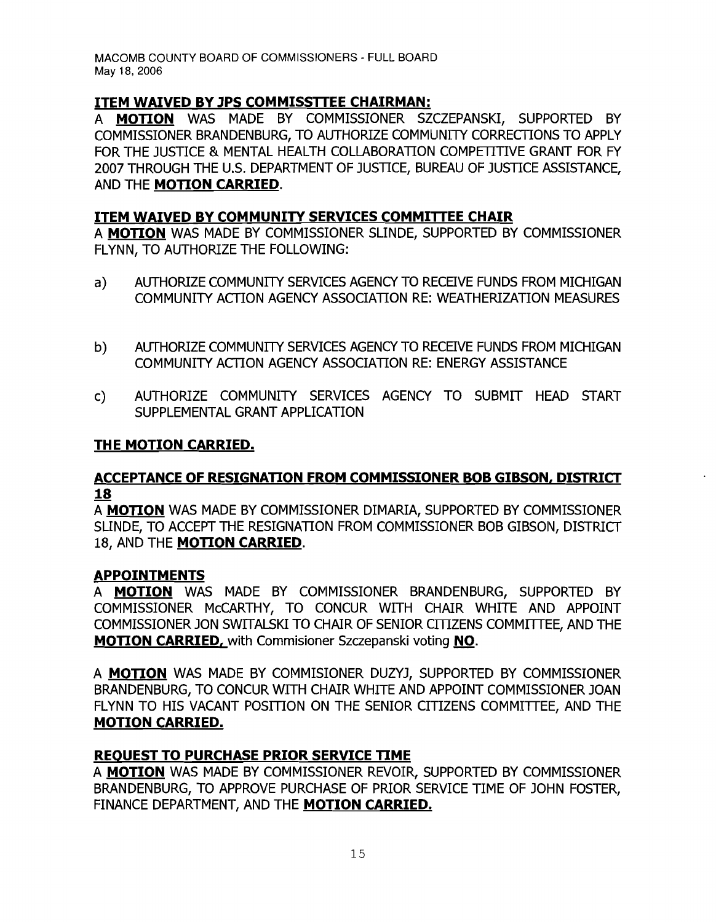# **ITEM WAIVED BY JPS COMMISSTTEE CHAIRMAN:**

A **MOTION** WAS MADE BY COMMISSIONER SZCZEPANSKI, SUPPORTED BY COMMISSIONER BRANDENBURG, TO AUTHORIZE COMMUNITY CORRECTIONS TO APPLY FOR THE JUSTICE & MENTAL HEALTH COLLABORATION COMPETITIVE GRANT FOR FY 2007 THROUGH THE U.S. DEPARTMENT OF JUSTICE, BUREAU OF JUSTICE ASSISTANCE, AND THE **MOTION CARRIED.** 

# **ITEM WAIVED BY COMMUNITY SERVICES COMMITTEE CHAIR**

A **MOTION** WAS MADE BY COMMISSIONER SLINDE, SUPPORTED BY COMMISSIONER FLYNN, TO AUTHORIZE THE FOLLOWING:

- a) AUTHORIZE COMMUNITY SERVICES AGENCY TO RECEIVE FUNDS FROM MICHIGAN COMMUNITY ACTION AGENCY ASSOCIATION RE: WEATHERIZATION MEASURES
- b) AUTHORIZE COMMUNITY SERVICES AGENCY TO RECEIVE FUNDS FROM MICHIGAN COMMUNITY ACTION AGENCY ASSOCIATION RE: ENERGY ASSISTANCE
- c) AUTHORIZE COMMUNITY SERVICES AGENCY TO SUBMIT HEAD START SUPPLEMENTAL GRANT APPLICATION

#### **THE MOTION CARRIED.**

#### **ACCEPTANCE OF RESIGNATION FROM COMMISSIONER BOB GIBSON, DISTRICT 18**

A **MOTION** WAS MADE BY COMMISSIONER DIMARIA, SUPPORTED BY COMMISSIONER SUNDE, TO ACCEPT THE RESIGNATION FROM COMMISSIONER BOB GIBSON, DISTRICT 18, AND THE **MOTION CARRIED.** 

#### **APPOINTMENTS**

A **MOTION** WAS MADE BY COMMISSIONER BRANDENBURG, SUPPORTED BY COMMISSIONER McCARTHY, TO CONCUR WITH CHAIR WHITE AND APPOINT COMMISSIONER JON SWITALSKI TO CHAIR OF SENIOR CITIZENS COMMITTEE, AND THE **MOTION CARRIED,** with Commisioner Szczepanski voting **NO.** 

A **MOTION** WAS MADE BY COMMISIONER DUZYJ, SUPPORTED BY COMMISSIONER BRANDENBURG, TO CONCUR WITH CHAIR WHITE AND APPOINT COMMISSIONER JOAN FLYNN TO HIS VACANT POSITION ON THE SENIOR CITIZENS COMMITTEE, AND THE **MOTION CARRIED.** 

## **REOUEST TO PURCHASE PRIOR SERVICE TIME**

A **MOTION** WAS MADE BY COMMISSIONER REVOIR, SUPPORTED BY COMMISSIONER BRANDENBURG, TO APPROVE PURCHASE OF PRIOR SERVICE TIME OF JOHN FOSTER, FINANCE DEPARTIVIENT, AND THE **MOTION CARRIED.**